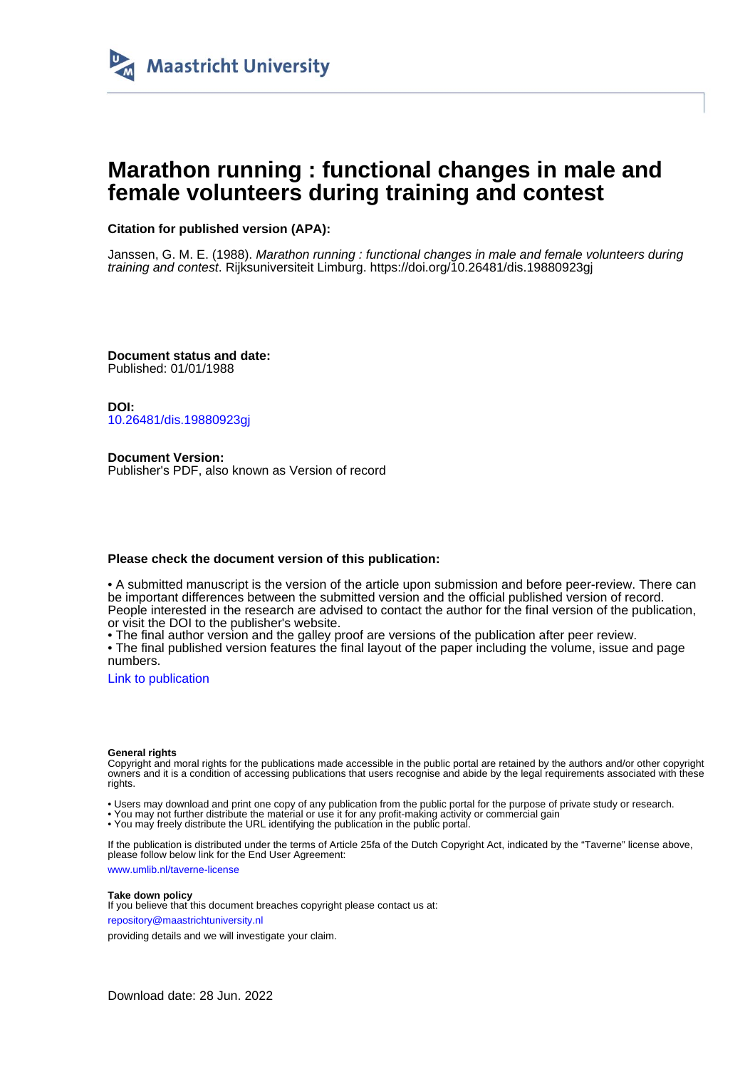

# **Marathon running : functional changes in male and female volunteers during training and contest**

# **Citation for published version (APA):**

Janssen, G. M. E. (1988). Marathon running : functional changes in male and female volunteers during training and contest. Rijksuniversiteit Limburg. <https://doi.org/10.26481/dis.19880923gj>

**Document status and date:** Published: 01/01/1988

**DOI:** [10.26481/dis.19880923gj](https://doi.org/10.26481/dis.19880923gj)

**Document Version:** Publisher's PDF, also known as Version of record

## **Please check the document version of this publication:**

• A submitted manuscript is the version of the article upon submission and before peer-review. There can be important differences between the submitted version and the official published version of record. People interested in the research are advised to contact the author for the final version of the publication, or visit the DOI to the publisher's website.

• The final author version and the galley proof are versions of the publication after peer review.

• The final published version features the final layout of the paper including the volume, issue and page numbers.

[Link to publication](https://cris.maastrichtuniversity.nl/en/publications/7355d72c-4259-453d-a319-a987c0849006)

#### **General rights**

Copyright and moral rights for the publications made accessible in the public portal are retained by the authors and/or other copyright owners and it is a condition of accessing publications that users recognise and abide by the legal requirements associated with these rights.

• Users may download and print one copy of any publication from the public portal for the purpose of private study or research.

• You may not further distribute the material or use it for any profit-making activity or commercial gain

• You may freely distribute the URL identifying the publication in the public portal.

If the publication is distributed under the terms of Article 25fa of the Dutch Copyright Act, indicated by the "Taverne" license above, please follow below link for the End User Agreement:

www.umlib.nl/taverne-license

#### **Take down policy**

If you believe that this document breaches copyright please contact us at: repository@maastrichtuniversity.nl

providing details and we will investigate your claim.